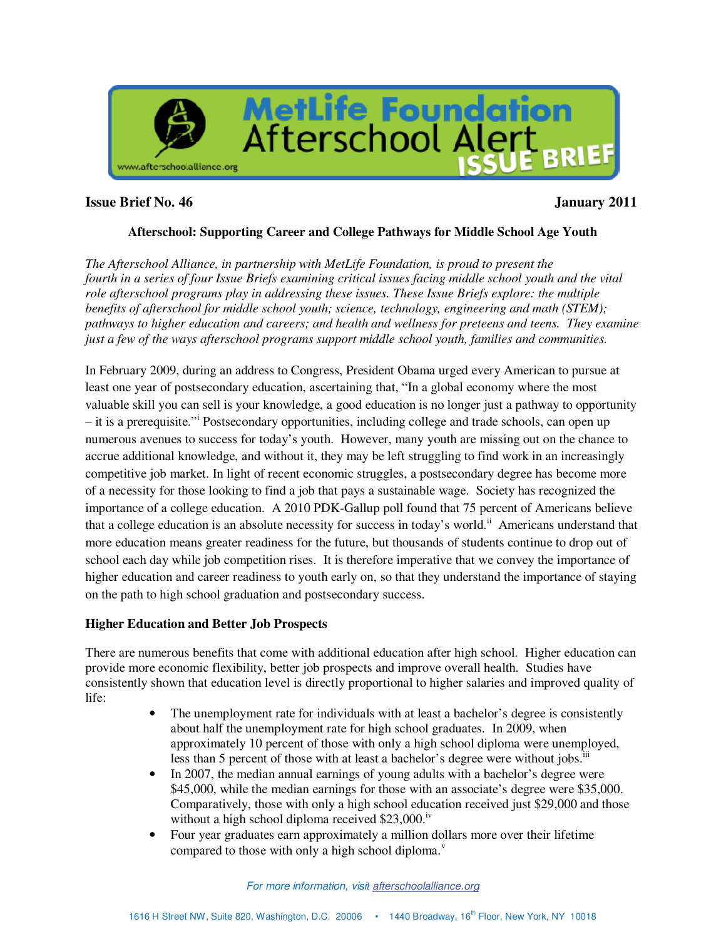

## **Issue Brief No. 46 January 2011**

#### **Afterschool: Supporting Career and College Pathways for Middle School Age Youth**

*The Afterschool Alliance, in partnership with MetLife Foundation, is proud to present the fourth in a series of four Issue Briefs examining critical issues facing middle school youth and the vital role afterschool programs play in addressing these issues. These Issue Briefs explore: the multiple benefits of afterschool for middle school youth; science, technology, engineering and math (STEM); pathways to higher education and careers; and health and wellness for preteens and teens. They examine just a few of the ways afterschool programs support middle school youth, families and communities.* 

In February 2009, during an address to Congress, President Obama urged every American to pursue at least one year of postsecondary education, ascertaining that, "In a global economy where the most valuable skill you can sell is your knowledge, a good education is no longer just a pathway to opportunity – it is a prerequisite."<sup>i</sup> Postsecondary opportunities, including college and trade schools, can open up numerous avenues to success for today's youth. However, many youth are missing out on the chance to accrue additional knowledge, and without it, they may be left struggling to find work in an increasingly competitive job market. In light of recent economic struggles, a postsecondary degree has become more of a necessity for those looking to find a job that pays a sustainable wage. Society has recognized the importance of a college education. A 2010 PDK-Gallup poll found that 75 percent of Americans believe that a college education is an absolute necessity for success in today's world.<sup>ii</sup> Americans understand that more education means greater readiness for the future, but thousands of students continue to drop out of school each day while job competition rises. It is therefore imperative that we convey the importance of higher education and career readiness to youth early on, so that they understand the importance of staying on the path to high school graduation and postsecondary success.

#### **Higher Education and Better Job Prospects**

There are numerous benefits that come with additional education after high school. Higher education can provide more economic flexibility, better job prospects and improve overall health. Studies have consistently shown that education level is directly proportional to higher salaries and improved quality of life:

- The unemployment rate for individuals with at least a bachelor's degree is consistently about half the unemployment rate for high school graduates. In 2009, when approximately 10 percent of those with only a high school diploma were unemployed, less than 5 percent of those with at least a bachelor's degree were without jobs. $\overline{a}$
- In 2007, the median annual earnings of young adults with a bachelor's degree were \$45,000, while the median earnings for those with an associate's degree were \$35,000. Comparatively, those with only a high school education received just \$29,000 and those without a high school diploma received  $$23,000$ .<sup>iv</sup>
- Four year graduates earn approximately a million dollars more over their lifetime compared to those with only a high school diploma. $v$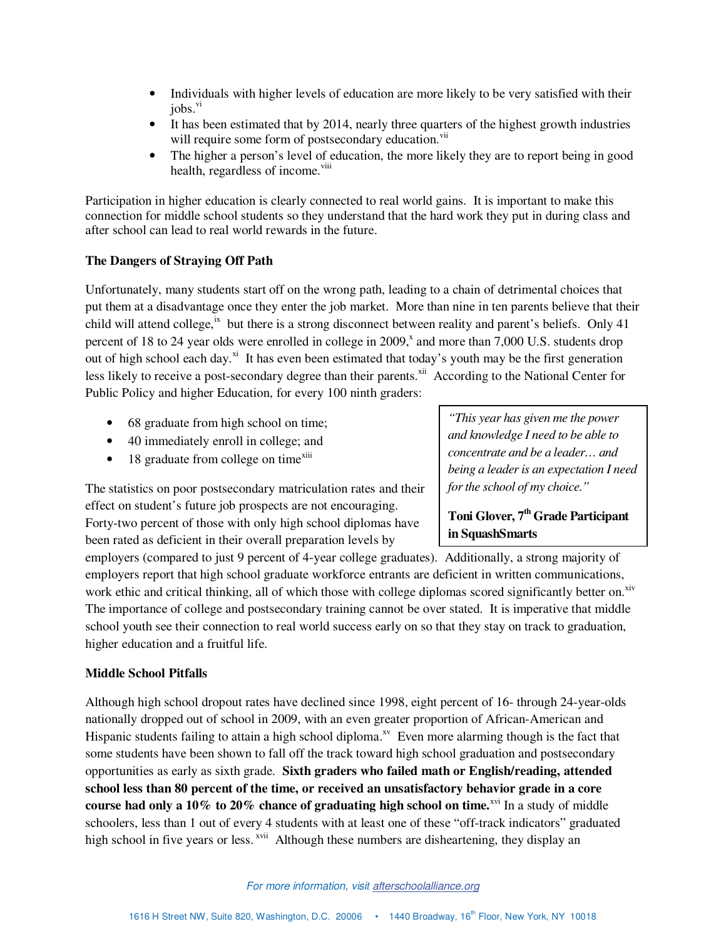- Individuals with higher levels of education are more likely to be very satisfied with their  $i$ <sub>obs.</sub> $vi$
- It has been estimated that by 2014, nearly three quarters of the highest growth industries will require some form of postsecondary education.<sup>vii</sup>
- The higher a person's level of education, the more likely they are to report being in good health, regardless of income.<sup>viii</sup>

Participation in higher education is clearly connected to real world gains. It is important to make this connection for middle school students so they understand that the hard work they put in during class and after school can lead to real world rewards in the future.

#### **The Dangers of Straying Off Path**

Unfortunately, many students start off on the wrong path, leading to a chain of detrimental choices that put them at a disadvantage once they enter the job market. More than nine in ten parents believe that their child will attend college,<sup>ix</sup> but there is a strong disconnect between reality and parent's beliefs. Only 41 percent of 18 to 24 year olds were enrolled in college in 2009, $^x$  and more than 7,000 U.S. students drop out of high school each day.<sup>xi</sup> It has even been estimated that today's youth may be the first generation less likely to receive a post-secondary degree than their parents.<sup>xii</sup> According to the National Center for Public Policy and higher Education, for every 100 ninth graders:

- 68 graduate from high school on time;
- 40 immediately enroll in college; and
- $\bullet$  18 graduate from college on time<sup>xiii</sup>

The statistics on poor postsecondary matriculation rates and their effect on student's future job prospects are not encouraging. Forty-two percent of those with only high school diplomas have been rated as deficient in their overall preparation levels by

*"This year has given me the power and knowledge I need to be able to concentrate and be a leader… and being a leader is an expectation I need for the school of my choice."* 

# **Toni Glover, 7<sup>th</sup> Grade Participant in SquashSmarts**

employers (compared to just 9 percent of 4-year college graduates). Additionally, a strong majority of employers report that high school graduate workforce entrants are deficient in written communications, work ethic and critical thinking, all of which those with college diplomas scored significantly better on.<sup>xiv</sup> The importance of college and postsecondary training cannot be over stated. It is imperative that middle school youth see their connection to real world success early on so that they stay on track to graduation, higher education and a fruitful life.

#### **Middle School Pitfalls**

Although high school dropout rates have declined since 1998, eight percent of 16- through 24-year-olds nationally dropped out of school in 2009, with an even greater proportion of African-American and Hispanic students failing to attain a high school diploma.<sup>xv</sup> Even more alarming though is the fact that some students have been shown to fall off the track toward high school graduation and postsecondary opportunities as early as sixth grade. **Sixth graders who failed math or English/reading, attended school less than 80 percent of the time, or received an unsatisfactory behavior grade in a core course had only a 10% to 20% chance of graduating high school on time.**<sup>xvi</sup> In a study of middle schoolers, less than 1 out of every 4 students with at least one of these "off-track indicators" graduated high school in five years or less. <sup>xvii</sup> Although these numbers are disheartening, they display an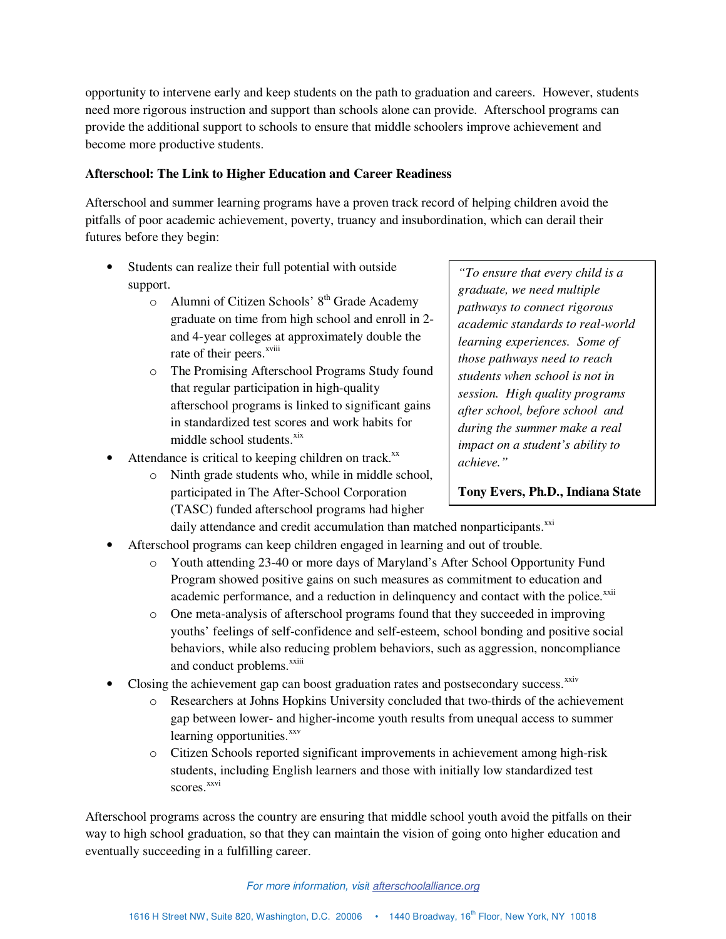opportunity to intervene early and keep students on the path to graduation and careers. However, students need more rigorous instruction and support than schools alone can provide. Afterschool programs can provide the additional support to schools to ensure that middle schoolers improve achievement and become more productive students.

#### **Afterschool: The Link to Higher Education and Career Readiness**

Afterschool and summer learning programs have a proven track record of helping children avoid the pitfalls of poor academic achievement, poverty, truancy and insubordination, which can derail their futures before they begin:

- Students can realize their full potential with outside support.
	- $\circ$  Alumni of Citizen Schools' 8<sup>th</sup> Grade Academy graduate on time from high school and enroll in 2 and 4-year colleges at approximately double the rate of their peers.<sup>xviii</sup>
	- o The Promising Afterschool Programs Study found that regular participation in high-quality afterschool programs is linked to significant gains in standardized test scores and work habits for middle school students.<sup>xix</sup>
- Attendance is critical to keeping children on track. $^{xx}$ 
	- o Ninth grade students who, while in middle school, participated in The After-School Corporation (TASC) funded afterschool programs had higher

*"To ensure that every child is a graduate, we need multiple pathways to connect rigorous academic standards to real-world learning experiences. Some of those pathways need to reach students when school is not in session. High quality programs after school, before school and during the summer make a real impact on a student's ability to achieve."* 

## **Tony Evers, Ph.D., Indiana State**

daily attendance and credit accumulation than matched nonparticipants.<sup>xxi</sup>

- Afterschool programs can keep children engaged in learning and out of trouble.
	- o Youth attending 23-40 or more days of Maryland's After School Opportunity Fund Program showed positive gains on such measures as commitment to education and academic performance, and a reduction in delinquency and contact with the police.<sup>xxii</sup>
	- o One meta-analysis of afterschool programs found that they succeeded in improving youths' feelings of self-confidence and self-esteem, school bonding and positive social behaviors, while also reducing problem behaviors, such as aggression, noncompliance and conduct problems.<sup>xxiii</sup>
- Closing the achievement gap can boost graduation rates and postsecondary success.<sup>xxiv</sup>
	- o Researchers at Johns Hopkins University concluded that two-thirds of the achievement gap between lower- and higher-income youth results from unequal access to summer learning opportunities. $^{xxv}$
	- o Citizen Schools reported significant improvements in achievement among high-risk students, including English learners and those with initially low standardized test scores.<sup>xxvi</sup>

Afterschool programs across the country are ensuring that middle school youth avoid the pitfalls on their way to high school graduation, so that they can maintain the vision of going onto higher education and eventually succeeding in a fulfilling career.

#### For more information, visit afterschoolalliance.org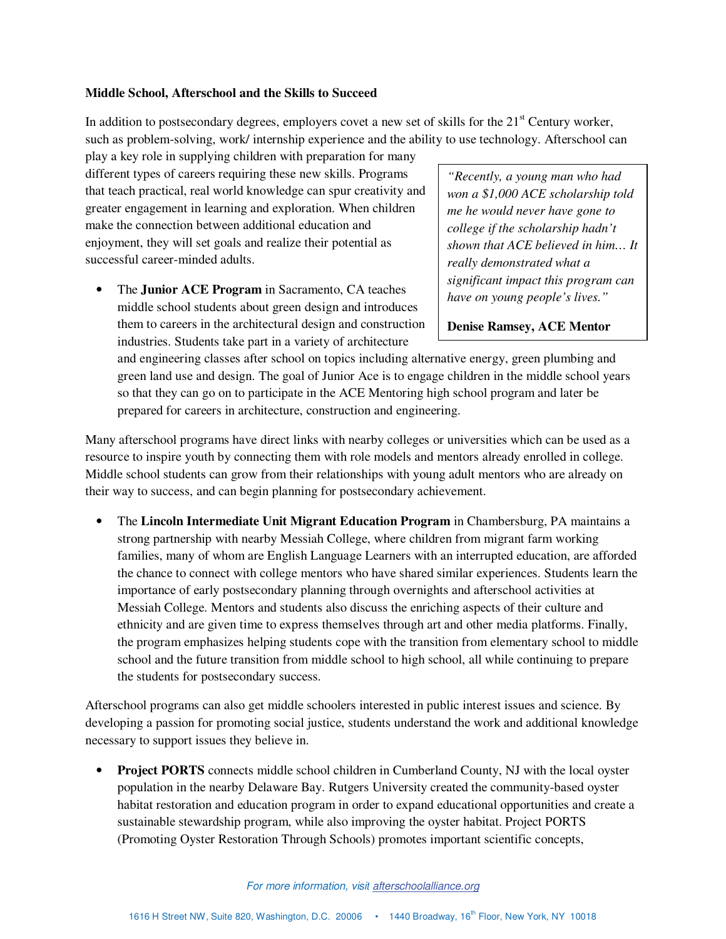#### **Middle School, Afterschool and the Skills to Succeed**

In addition to postsecondary degrees, employers covet a new set of skills for the  $21<sup>st</sup>$  Century worker, such as problem-solving, work/ internship experience and the ability to use technology. Afterschool can

play a key role in supplying children with preparation for many different types of careers requiring these new skills. Programs that teach practical, real world knowledge can spur creativity and greater engagement in learning and exploration. When children make the connection between additional education and enjoyment, they will set goals and realize their potential as successful career-minded adults.

• The **Junior ACE Program** in Sacramento, CA teaches middle school students about green design and introduces them to careers in the architectural design and construction industries. Students take part in a variety of architecture

*"Recently, a young man who had won a \$1,000 ACE scholarship told me he would never have gone to college if the scholarship hadn't shown that ACE believed in him… It really demonstrated what a significant impact this program can have on young people's lives."* 

**Denise Ramsey, ACE Mentor** 

and engineering classes after school on topics including alternative energy, green plumbing and green land use and design. The goal of Junior Ace is to engage children in the middle school years so that they can go on to participate in the ACE Mentoring high school program and later be prepared for careers in architecture, construction and engineering.

Many afterschool programs have direct links with nearby colleges or universities which can be used as a resource to inspire youth by connecting them with role models and mentors already enrolled in college. Middle school students can grow from their relationships with young adult mentors who are already on their way to success, and can begin planning for postsecondary achievement.

• The **Lincoln Intermediate Unit Migrant Education Program** in Chambersburg, PA maintains a strong partnership with nearby Messiah College, where children from migrant farm working families, many of whom are English Language Learners with an interrupted education, are afforded the chance to connect with college mentors who have shared similar experiences. Students learn the importance of early postsecondary planning through overnights and afterschool activities at Messiah College. Mentors and students also discuss the enriching aspects of their culture and ethnicity and are given time to express themselves through art and other media platforms. Finally, the program emphasizes helping students cope with the transition from elementary school to middle school and the future transition from middle school to high school, all while continuing to prepare the students for postsecondary success.

Afterschool programs can also get middle schoolers interested in public interest issues and science. By developing a passion for promoting social justice, students understand the work and additional knowledge necessary to support issues they believe in.

**Project PORTS** connects middle school children in Cumberland County, NJ with the local oyster population in the nearby Delaware Bay. Rutgers University created the community-based oyster habitat restoration and education program in order to expand educational opportunities and create a sustainable stewardship program, while also improving the oyster habitat. Project PORTS (Promoting Oyster Restoration Through Schools) promotes important scientific concepts,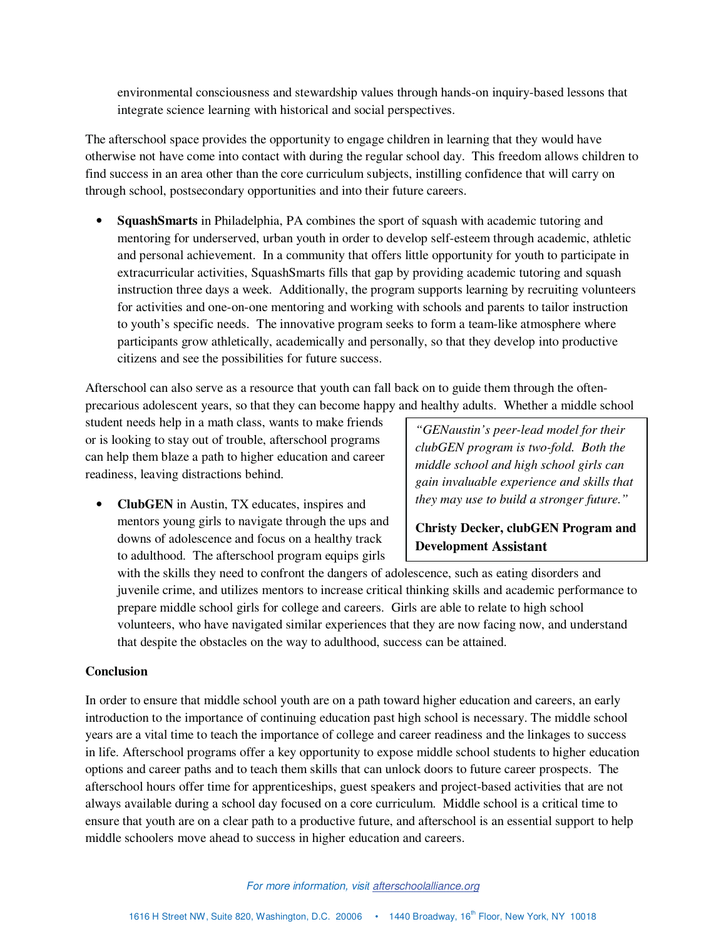environmental consciousness and stewardship values through hands-on inquiry-based lessons that integrate science learning with historical and social perspectives.

The afterschool space provides the opportunity to engage children in learning that they would have otherwise not have come into contact with during the regular school day. This freedom allows children to find success in an area other than the core curriculum subjects, instilling confidence that will carry on through school, postsecondary opportunities and into their future careers.

• **SquashSmarts** in Philadelphia, PA combines the sport of squash with academic tutoring and mentoring for underserved, urban youth in order to develop self-esteem through academic, athletic and personal achievement. In a community that offers little opportunity for youth to participate in extracurricular activities, SquashSmarts fills that gap by providing academic tutoring and squash instruction three days a week. Additionally, the program supports learning by recruiting volunteers for activities and one-on-one mentoring and working with schools and parents to tailor instruction to youth's specific needs. The innovative program seeks to form a team-like atmosphere where participants grow athletically, academically and personally, so that they develop into productive citizens and see the possibilities for future success.

Afterschool can also serve as a resource that youth can fall back on to guide them through the oftenprecarious adolescent years, so that they can become happy and healthy adults. Whether a middle school

student needs help in a math class, wants to make friends or is looking to stay out of trouble, afterschool programs can help them blaze a path to higher education and career readiness, leaving distractions behind.

• **ClubGEN** in Austin, TX educates, inspires and mentors young girls to navigate through the ups and downs of adolescence and focus on a healthy track to adulthood. The afterschool program equips girls

*"GENaustin's peer-lead model for their clubGEN program is two-fold. Both the middle school and high school girls can gain invaluable experience and skills that they may use to build a stronger future."* 

# **Christy Decker, clubGEN Program and Development Assistant**

with the skills they need to confront the dangers of adolescence, such as eating disorders and juvenile crime, and utilizes mentors to increase critical thinking skills and academic performance to prepare middle school girls for college and careers. Girls are able to relate to high school volunteers, who have navigated similar experiences that they are now facing now, and understand that despite the obstacles on the way to adulthood, success can be attained.

## **Conclusion**

In order to ensure that middle school youth are on a path toward higher education and careers, an early introduction to the importance of continuing education past high school is necessary. The middle school years are a vital time to teach the importance of college and career readiness and the linkages to success in life. Afterschool programs offer a key opportunity to expose middle school students to higher education options and career paths and to teach them skills that can unlock doors to future career prospects. The afterschool hours offer time for apprenticeships, guest speakers and project-based activities that are not always available during a school day focused on a core curriculum. Middle school is a critical time to ensure that youth are on a clear path to a productive future, and afterschool is an essential support to help middle schoolers move ahead to success in higher education and careers.